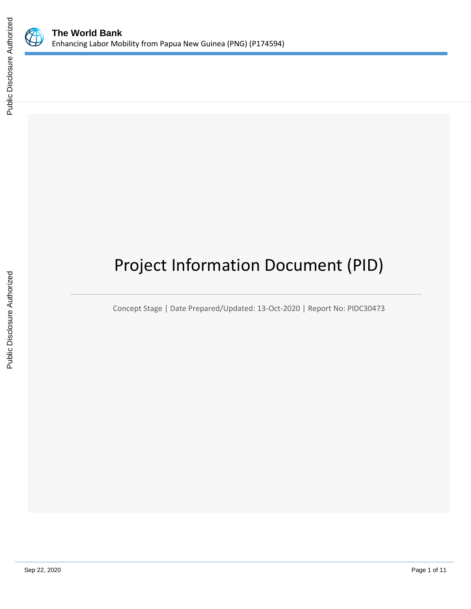

# Project Information Document (PID)

Concept Stage | Date Prepared/Updated: 13-Oct-2020 | Report No: PIDC30473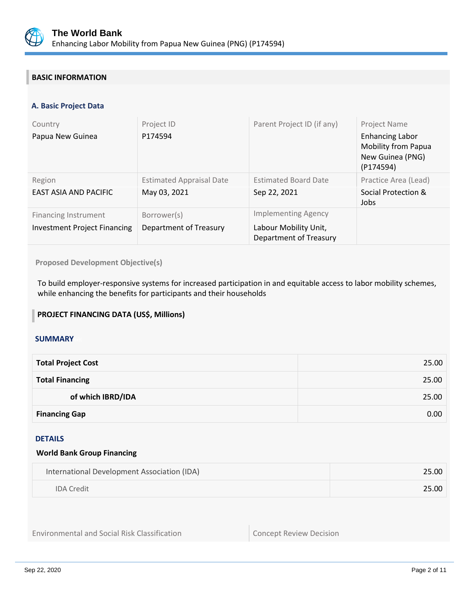

# **BASIC INFORMATION**

## **A. Basic Project Data**

| Country<br>Papua New Guinea                                        | Project ID<br>P174594                           | Parent Project ID (if any)                                                           | Project Name<br><b>Enhancing Labor</b><br><b>Mobility from Papua</b><br>New Guinea (PNG)<br>(P174594) |
|--------------------------------------------------------------------|-------------------------------------------------|--------------------------------------------------------------------------------------|-------------------------------------------------------------------------------------------------------|
| Region<br><b>EAST ASIA AND PACIFIC</b>                             | <b>Estimated Appraisal Date</b><br>May 03, 2021 | <b>Estimated Board Date</b><br>Sep 22, 2021                                          | Practice Area (Lead)<br>Social Protection &<br>Jobs                                                   |
| <b>Financing Instrument</b><br><b>Investment Project Financing</b> | Borrower(s)<br>Department of Treasury           | <b>Implementing Agency</b><br>Labour Mobility Unit,<br><b>Department of Treasury</b> |                                                                                                       |

**Proposed Development Objective(s)** 

To build employer-responsive systems for increased participation in and equitable access to labor mobility schemes, while enhancing the benefits for participants and their households

## **PROJECT FINANCING DATA (US\$, Millions)**

### **SUMMARY**

| <b>Total Project Cost</b> | 25.00 |
|---------------------------|-------|
| <b>Total Financing</b>    | 25.00 |
| of which IBRD/IDA         | 25.00 |
| <b>Financing Gap</b>      | 0.00  |

#### DETAILS

#### **World Bank Group Financing**

| International Development Association (IDA) | 25.00 |
|---------------------------------------------|-------|
| <b>IDA</b> Credit                           | 25.00 |

Environmental and Social Risk Classification Concept Review Decision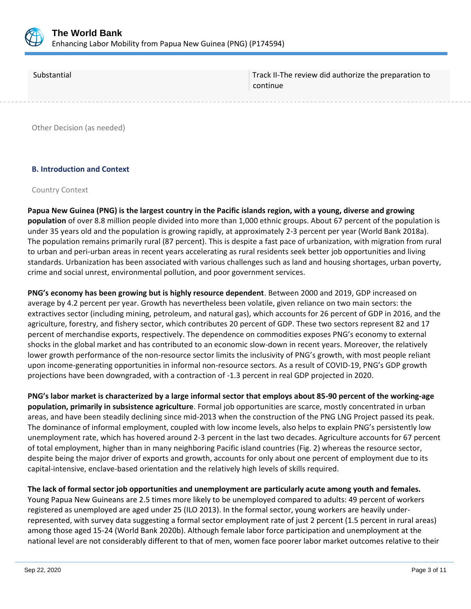

| Substantial | Track II-The review did authorize the preparation to<br>continue |
|-------------|------------------------------------------------------------------|
|             |                                                                  |

Other Decision (as needed)

## **B. Introduction and Context**

#### Country Context

**Papua New Guinea (PNG) is the largest country in the Pacific islands region, with a young, diverse and growing population** of over 8.8 million people divided into more than 1,000 ethnic groups. About 67 percent of the population is under 35 years old and the population is growing rapidly, at approximately 2-3 percent per year (World Bank 2018a). The population remains primarily rural (87 percent). This is despite a fast pace of urbanization, with migration from rural to urban and peri-urban areas in recent years accelerating as rural residents seek better job opportunities and living standards. Urbanization has been associated with various challenges such as land and housing shortages, urban poverty, crime and social unrest, environmental pollution, and poor government services.

**PNG's economy has been growing but is highly resource dependent**. Between 2000 and 2019, GDP increased on average by 4.2 percent per year. Growth has nevertheless been volatile, given reliance on two main sectors: the extractives sector (including mining, petroleum, and natural gas), which accounts for 26 percent of GDP in 2016, and the agriculture, forestry, and fishery sector, which contributes 20 percent of GDP. These two sectors represent 82 and 17 percent of merchandise exports, respectively. The dependence on commodities exposes PNG's economy to external shocks in the global market and has contributed to an economic slow-down in recent years. Moreover, the relatively lower growth performance of the non-resource sector limits the inclusivity of PNG's growth, with most people reliant upon income-generating opportunities in informal non-resource sectors. As a result of COVID-19, PNG's GDP growth projections have been downgraded, with a contraction of -1.3 percent in real GDP projected in 2020.

**PNG's labor market is characterized by a large informal sector that employs about 85-90 percent of the working-age population, primarily in subsistence agriculture**. Formal job opportunities are scarce, mostly concentrated in urban areas, and have been steadily declining since mid-2013 when the construction of the PNG LNG Project passed its peak. The dominance of informal employment, coupled with low income levels, also helps to explain PNG's persistently low unemployment rate, which has hovered around 2-3 percent in the last two decades. Agriculture accounts for 67 percent of total employment, higher than in many neighboring Pacific island countries (Fig. 2) whereas the resource sector, despite being the major driver of exports and growth, accounts for only about one percent of employment due to its capital-intensive, enclave-based orientation and the relatively high levels of skills required.

**The lack of formal sector job opportunities and unemployment are particularly acute among youth and females.**  Young Papua New Guineans are 2.5 times more likely to be unemployed compared to adults: 49 percent of workers registered as unemployed are aged under 25 (ILO 2013). In the formal sector, young workers are heavily underrepresented, with survey data suggesting a formal sector employment rate of just 2 percent (1.5 percent in rural areas) among those aged 15-24 (World Bank 2020b). Although female labor force participation and unemployment at the national level are not considerably different to that of men, women face poorer labor market outcomes relative to their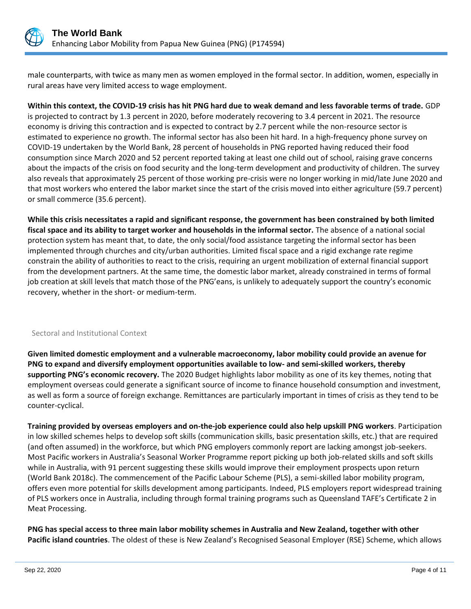

male counterparts, with twice as many men as women employed in the formal sector. In addition, women, especially in rural areas have very limited access to wage employment.

# **Within this context, the COVID-19 crisis has hit PNG hard due to weak demand and less favorable terms of trade.** GDP

is projected to contract by 1.3 percent in 2020, before moderately recovering to 3.4 percent in 2021. The resource economy is driving this contraction and is expected to contract by 2.7 percent while the non-resource sector is estimated to experience no growth. The informal sector has also been hit hard. In a high-frequency phone survey on COVID-19 undertaken by the World Bank, 28 percent of households in PNG reported having reduced their food consumption since March 2020 and 52 percent reported taking at least one child out of school, raising grave concerns about the impacts of the crisis on food security and the long-term development and productivity of children. The survey also reveals that approximately 25 percent of those working pre-crisis were no longer working in mid/late June 2020 and that most workers who entered the labor market since the start of the crisis moved into either agriculture (59.7 percent) or small commerce (35.6 percent).

**While this crisis necessitates a rapid and significant response, the government has been constrained by both limited fiscal space and its ability to target worker and households in the informal sector.** The absence of a national social protection system has meant that, to date, the only social/food assistance targeting the informal sector has been implemented through churches and city/urban authorities. Limited fiscal space and a rigid exchange rate regime constrain the ability of authorities to react to the crisis, requiring an urgent mobilization of external financial support from the development partners. At the same time, the domestic labor market, already constrained in terms of formal job creation at skill levels that match those of the PNG'eans, is unlikely to adequately support the country's economic recovery, whether in the short- or medium-term.

### Sectoral and Institutional Context

**Given limited domestic employment and a vulnerable macroeconomy, labor mobility could provide an avenue for PNG to expand and diversify employment opportunities available to low- and semi-skilled workers, thereby supporting PNG's economic recovery.** The 2020 Budget highlights labor mobility as one of its key themes, noting that employment overseas could generate a significant source of income to finance household consumption and investment, as well as form a source of foreign exchange. Remittances are particularly important in times of crisis as they tend to be counter-cyclical.

**Training provided by overseas employers and on-the-job experience could also help upskill PNG workers**. Participation in low skilled schemes helps to develop soft skills (communication skills, basic presentation skills, etc.) that are required (and often assumed) in the workforce, but which PNG employers commonly report are lacking amongst job-seekers. Most Pacific workers in Australia's Seasonal Worker Programme report picking up both job-related skills and soft skills while in Australia, with 91 percent suggesting these skills would improve their employment prospects upon return (World Bank 2018c). The commencement of the Pacific Labour Scheme (PLS), a semi-skilled labor mobility program, offers even more potential for skills development among participants. Indeed, PLS employers report widespread training of PLS workers once in Australia, including through formal training programs such as Queensland TAFE's Certificate 2 in Meat Processing.

**PNG has special access to three main labor mobility schemes in Australia and New Zealand, together with other Pacific island countries**. The oldest of these is New Zealand's Recognised Seasonal Employer (RSE) Scheme, which allows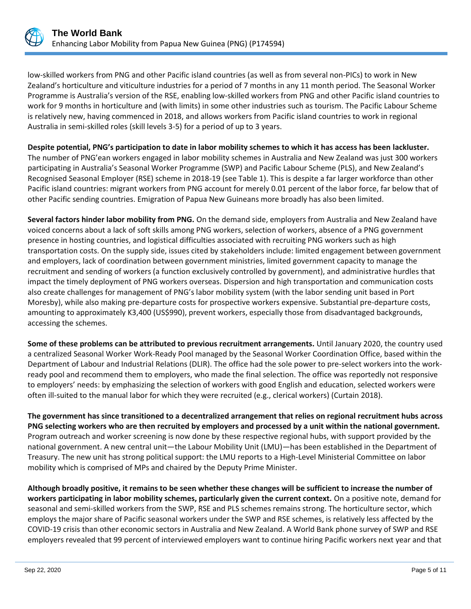

low-skilled workers from PNG and other Pacific island countries (as well as from several non-PICs) to work in New Zealand's horticulture and viticulture industries for a period of 7 months in any 11 month period. The Seasonal Worker Programme is Australia's version of the RSE, enabling low-skilled workers from PNG and other Pacific island countries to work for 9 months in horticulture and (with limits) in some other industries such as tourism. The Pacific Labour Scheme is relatively new, having commenced in 2018, and allows workers from Pacific island countries to work in regional Australia in semi-skilled roles (skill levels 3-5) for a period of up to 3 years.

**Despite potential, PNG's participation to date in labor mobility schemes to which it has access has been lackluster.**  The number of PNG'ean workers engaged in labor mobility schemes in Australia and New Zealand was just 300 workers participating in Australia's Seasonal Worker Programme (SWP) and Pacific Labour Scheme (PLS), and New Zealand's Recognised Seasonal Employer (RSE) scheme in 2018-19 (see Table 1). This is despite a far larger workforce than other Pacific island countries: migrant workers from PNG account for merely 0.01 percent of the labor force, far below that of other Pacific sending countries. Emigration of Papua New Guineans more broadly has also been limited.

**Several factors hinder labor mobility from PNG.** On the demand side, employers from Australia and New Zealand have voiced concerns about a lack of soft skills among PNG workers, selection of workers, absence of a PNG government presence in hosting countries, and logistical difficulties associated with recruiting PNG workers such as high transportation costs. On the supply side, issues cited by stakeholders include: limited engagement between government and employers, lack of coordination between government ministries, limited government capacity to manage the recruitment and sending of workers (a function exclusively controlled by government), and administrative hurdles that impact the timely deployment of PNG workers overseas. Dispersion and high transportation and communication costs also create challenges for management of PNG's labor mobility system (with the labor sending unit based in Port Moresby), while also making pre-departure costs for prospective workers expensive. Substantial pre-departure costs, amounting to approximately K3,400 (US\$990), prevent workers, especially those from disadvantaged backgrounds, accessing the schemes.

**Some of these problems can be attributed to previous recruitment arrangements.** Until January 2020, the country used a centralized Seasonal Worker Work-Ready Pool managed by the Seasonal Worker Coordination Office, based within the Department of Labour and Industrial Relations (DLIR). The office had the sole power to pre-select workers into the workready pool and recommend them to employers, who made the final selection. The office was reportedly not responsive to employers' needs: by emphasizing the selection of workers with good English and education, selected workers were often ill-suited to the manual labor for which they were recruited (e.g., clerical workers) (Curtain 2018).

**The government has since transitioned to a decentralized arrangement that relies on regional recruitment hubs across PNG selecting workers who are then recruited by employers and processed by a unit within the national government.**  Program outreach and worker screening is now done by these respective regional hubs, with support provided by the national government. A new central unit—the Labour Mobility Unit (LMU)—has been established in the Department of Treasury. The new unit has strong political support: the LMU reports to a High-Level Ministerial Committee on labor mobility which is comprised of MPs and chaired by the Deputy Prime Minister.

**Although broadly positive, it remains to be seen whether these changes will be sufficient to increase the number of workers participating in labor mobility schemes, particularly given the current context.** On a positive note, demand for seasonal and semi-skilled workers from the SWP, RSE and PLS schemes remains strong. The horticulture sector, which employs the major share of Pacific seasonal workers under the SWP and RSE schemes, is relatively less affected by the COVID-19 crisis than other economic sectors in Australia and New Zealand. A World Bank phone survey of SWP and RSE employers revealed that 99 percent of interviewed employers want to continue hiring Pacific workers next year and that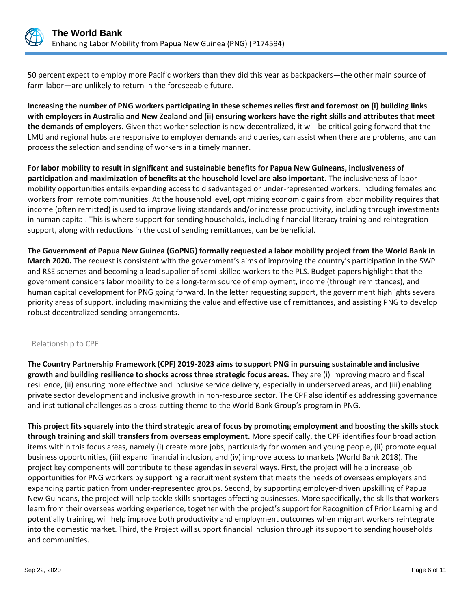

50 percent expect to employ more Pacific workers than they did this year as backpackers—the other main source of farm labor—are unlikely to return in the foreseeable future.

**Increasing the number of PNG workers participating in these schemes relies first and foremost on (i) building links with employers in Australia and New Zealand and (ii) ensuring workers have the right skills and attributes that meet the demands of employers.** Given that worker selection is now decentralized, it will be critical going forward that the LMU and regional hubs are responsive to employer demands and queries, can assist when there are problems, and can process the selection and sending of workers in a timely manner.

**For labor mobility to result in significant and sustainable benefits for Papua New Guineans, inclusiveness of participation and maximization of benefits at the household level are also important.** The inclusiveness of labor mobility opportunities entails expanding access to disadvantaged or under-represented workers, including females and workers from remote communities. At the household level, optimizing economic gains from labor mobility requires that income (often remitted) is used to improve living standards and/or increase productivity, including through investments in human capital. This is where support for sending households, including financial literacy training and reintegration support, along with reductions in the cost of sending remittances, can be beneficial.

**The Government of Papua New Guinea (GoPNG) formally requested a labor mobility project from the World Bank in March 2020.** The request is consistent with the government's aims of improving the country's participation in the SWP and RSE schemes and becoming a lead supplier of semi-skilled workers to the PLS. Budget papers highlight that the government considers labor mobility to be a long-term source of employment, income (through remittances), and human capital development for PNG going forward. In the letter requesting support, the government highlights several priority areas of support, including maximizing the value and effective use of remittances, and assisting PNG to develop robust decentralized sending arrangements.

### Relationship to CPF

**The Country Partnership Framework (CPF) 2019-2023 aims to support PNG in pursuing sustainable and inclusive growth and building resilience to shocks across three strategic focus areas.** They are (i) improving macro and fiscal resilience, (ii) ensuring more effective and inclusive service delivery, especially in underserved areas, and (iii) enabling private sector development and inclusive growth in non-resource sector. The CPF also identifies addressing governance and institutional challenges as a cross-cutting theme to the World Bank Group's program in PNG.

**This project fits squarely into the third strategic area of focus by promoting employment and boosting the skills stock through training and skill transfers from overseas employment.** More specifically, the CPF identifies four broad action items within this focus areas, namely (i) create more jobs, particularly for women and young people, (ii) promote equal business opportunities, (iii) expand financial inclusion, and (iv) improve access to markets (World Bank 2018). The project key components will contribute to these agendas in several ways. First, the project will help increase job opportunities for PNG workers by supporting a recruitment system that meets the needs of overseas employers and expanding participation from under-represented groups. Second, by supporting employer-driven upskilling of Papua New Guineans, the project will help tackle skills shortages affecting businesses. More specifically, the skills that workers learn from their overseas working experience, together with the project's support for Recognition of Prior Learning and potentially training, will help improve both productivity and employment outcomes when migrant workers reintegrate into the domestic market. Third, the Project will support financial inclusion through its support to sending households and communities.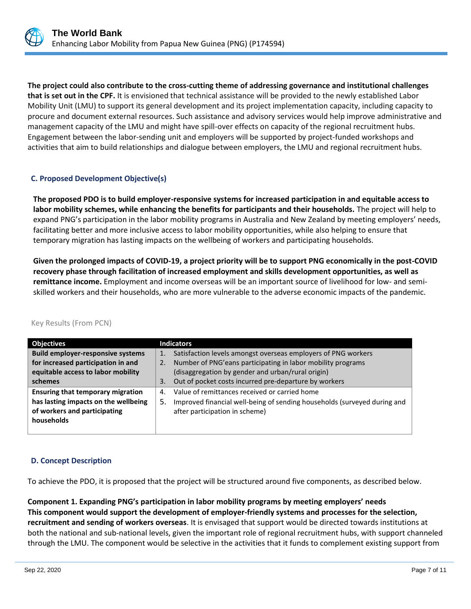

**The project could also contribute to the cross-cutting theme of addressing governance and institutional challenges that is set out in the CPF.** It is envisioned that technical assistance will be provided to the newly established Labor Mobility Unit (LMU) to support its general development and its project implementation capacity, including capacity to procure and document external resources. Such assistance and advisory services would help improve administrative and management capacity of the LMU and might have spill-over effects on capacity of the regional recruitment hubs. Engagement between the labor-sending unit and employers will be supported by project-funded workshops and activities that aim to build relationships and dialogue between employers, the LMU and regional recruitment hubs.

# **C. Proposed Development Objective(s)**

**The proposed PDO is to build employer-responsive systems for increased participation in and equitable access to labor mobility schemes, while enhancing the benefits for participants and their households.** The project will help to expand PNG's participation in the labor mobility programs in Australia and New Zealand by meeting employers' needs, facilitating better and more inclusive access to labor mobility opportunities, while also helping to ensure that temporary migration has lasting impacts on the wellbeing of workers and participating households.

**Given the prolonged impacts of COVID-19, a project priority will be to support PNG economically in the post-COVID recovery phase through facilitation of increased employment and skills development opportunities, as well as remittance income.** Employment and income overseas will be an important source of livelihood for low- and semiskilled workers and their households, who are more vulnerable to the adverse economic impacts of the pandemic.

| <b>Objectives</b>                        | <b>Indicators</b>                                                              |
|------------------------------------------|--------------------------------------------------------------------------------|
| <b>Build employer-responsive systems</b> | Satisfaction levels amongst overseas employers of PNG workers<br>1.            |
| for increased participation in and       | Number of PNG'eans participating in labor mobility programs<br>2.              |
| equitable access to labor mobility       | (disaggregation by gender and urban/rural origin)                              |
| schemes                                  | Out of pocket costs incurred pre-departure by workers<br>3.                    |
| <b>Ensuring that temporary migration</b> | Value of remittances received or carried home<br>4.                            |
| has lasting impacts on the wellbeing     | Improved financial well-being of sending households (surveyed during and<br>5. |
| of workers and participating             | after participation in scheme)                                                 |
| households                               |                                                                                |
|                                          |                                                                                |

### Key Results (From PCN)

### **D. Concept Description**

To achieve the PDO, it is proposed that the project will be structured around five components, as described below.

**Component 1. Expanding PNG's participation in labor mobility programs by meeting employers' needs This component would support the development of employer-friendly systems and processes for the selection, recruitment and sending of workers overseas**. It is envisaged that support would be directed towards institutions at both the national and sub-national levels, given the important role of regional recruitment hubs, with support channeled through the LMU. The component would be selective in the activities that it funds to complement existing support from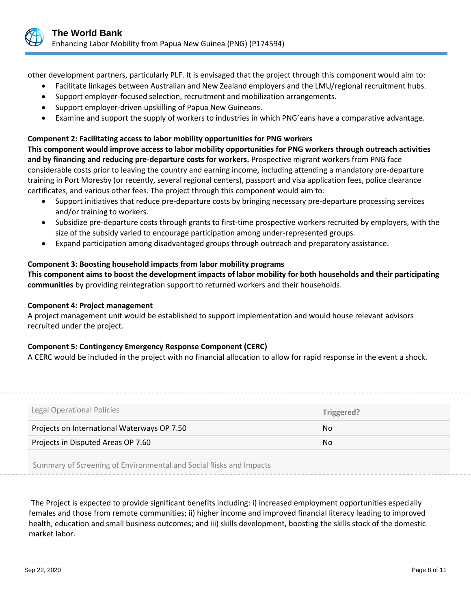

other development partners, particularly PLF. It is envisaged that the project through this component would aim to:

- Facilitate linkages between Australian and New Zealand employers and the LMU/regional recruitment hubs.
- Support employer-focused selection, recruitment and mobilization arrangements.
- Support employer-driven upskilling of Papua New Guineans.
- Examine and support the supply of workers to industries in which PNG'eans have a comparative advantage.

# **Component 2: Facilitating access to labor mobility opportunities for PNG workers**

**This component would improve access to labor mobility opportunities for PNG workers through outreach activities and by financing and reducing pre-departure costs for workers.** Prospective migrant workers from PNG face considerable costs prior to leaving the country and earning income, including attending a mandatory pre-departure training in Port Moresby (or recently, several regional centers), passport and visa application fees, police clearance certificates, and various other fees. The project through this component would aim to:

- Support initiatives that reduce pre-departure costs by bringing necessary pre-departure processing services and/or training to workers.
- Subsidize pre-departure costs through grants to first-time prospective workers recruited by employers, with the size of the subsidy varied to encourage participation among under-represented groups.
- Expand participation among disadvantaged groups through outreach and preparatory assistance.

# **Component 3: Boosting household impacts from labor mobility programs**

**This component aims to boost the development impacts of labor mobility for both households and their participating communities** by providing reintegration support to returned workers and their households.

### **Component 4: Project management**

A project management unit would be established to support implementation and would house relevant advisors recruited under the project.

# **Component 5: Contingency Emergency Response Component (CERC)**

A CERC would be included in the project with no financial allocation to allow for rapid response in the event a shock.

| Legal Operational Policies                  | Triggered? |
|---------------------------------------------|------------|
| Projects on International Waterways OP 7.50 | No.        |
|                                             |            |
| Projects in Disputed Areas OP 7.60          | No.        |

Summary of Screening of Environmental and Social Risks and Impacts

The Project is expected to provide significant benefits including: i) increased employment opportunities especially females and those from remote communities; ii) higher income and improved financial literacy leading to improved health, education and small business outcomes; and iii) skills development, boosting the skills stock of the domestic market labor.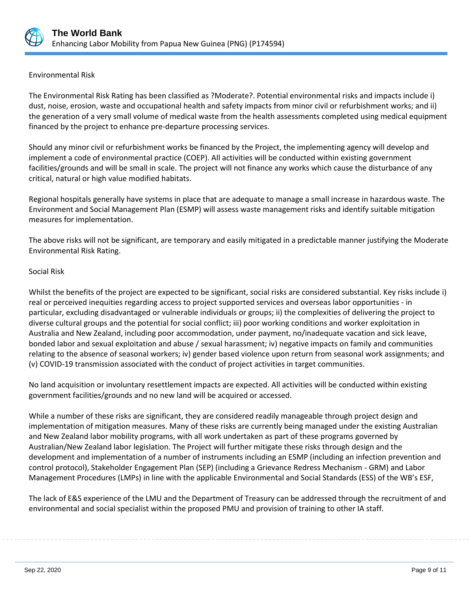

## Environmental Risk

The Environmental Risk Rating has been classified as ?Moderate?. Potential environmental risks and impacts include i) dust, noise, erosion, waste and occupational health and safety impacts from minor civil or refurbishment works; and ii) the generation of a very small volume of medical waste from the health assessments completed using medical equipment financed by the project to enhance pre-departure processing services.

Should any minor civil or refurbishment works be financed by the Project, the implementing agency will develop and implement a code of environmental practice (COEP). All activities will be conducted within existing government facilities/grounds and will be small in scale. The project will not finance any works which cause the disturbance of any critical, natural or high value modified habitats.

Regional hospitals generally have systems in place that are adequate to manage a small increase in hazardous waste. The Environment and Social Management Plan (ESMP) will assess waste management risks and identify suitable mitigation measures for implementation.

The above risks will not be significant, are temporary and easily mitigated in a predictable manner justifying the Moderate Environmental Risk Rating.

# Social Risk

Whilst the benefits of the project are expected to be significant, social risks are considered substantial. Key risks include i) real or perceived inequities regarding access to project supported services and overseas labor opportunities - in particular, excluding disadvantaged or vulnerable individuals or groups; ii) the complexities of delivering the project to diverse cultural groups and the potential for social conflict; iii) poor working conditions and worker exploitation in Australia and New Zealand, including poor accommodation, under payment, no/inadequate vacation and sick leave, bonded labor and sexual exploitation and abuse / sexual harassment; iv) negative impacts on family and communities relating to the absence of seasonal workers; iv) gender based violence upon return from seasonal work assignments; and (v) COVID-19 transmission associated with the conduct of project activities in target communities.

No land acquisition or involuntary resettlement impacts are expected. All activities will be conducted within existing government facilities/grounds and no new land will be acquired or accessed.

While a number of these risks are significant, they are considered readily manageable through project design and implementation of mitigation measures. Many of these risks are currently being managed under the existing Australian and New Zealand labor mobility programs, with all work undertaken as part of these programs governed by Australian/New Zealand labor legislation. The Project will further mitigate these risks through design and the development and implementation of a number of instruments including an ESMP (including an infection prevention and control protocol), Stakeholder Engagement Plan (SEP) (including a Grievance Redress Mechanism - GRM) and Labor Management Procedures (LMPs) in line with the applicable Environmental and Social Standards (ESS) of the WB's ESF,

The lack of E&S experience of the LMU and the Department of Treasury can be addressed through the recruitment of and environmental and social specialist within the proposed PMU and provision of training to other IA staff.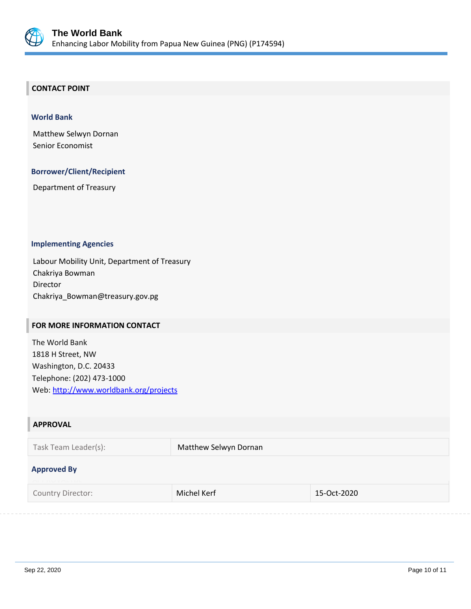

## **CONTACT POINT**

#### **World Bank**

Matthew Selwyn Dornan Senior Economist

#### **Borrower/Client/Recipient**

Department of Treasury

#### **Implementing Agencies**

Labour Mobility Unit, Department of Treasury Chakriya Bowman Director Chakriya\_Bowman@treasury.gov.pg

#### **FOR MORE INFORMATION CONTACT**

The World Bank 1818 H Street, NW Washington, D.C. 20433 Telephone: (202) 473-1000 Web:<http://www.worldbank.org/projects>

| <b>APPROVAL</b>                            |                       |             |  |  |
|--------------------------------------------|-----------------------|-------------|--|--|
| Task Team Leader(s):                       | Matthew Selwyn Dornan |             |  |  |
| <b>Approved By</b><br><b>ELEINV VELLUL</b> |                       |             |  |  |
| Country Director:                          | Michel Kerf           | 15-Oct-2020 |  |  |
|                                            |                       |             |  |  |